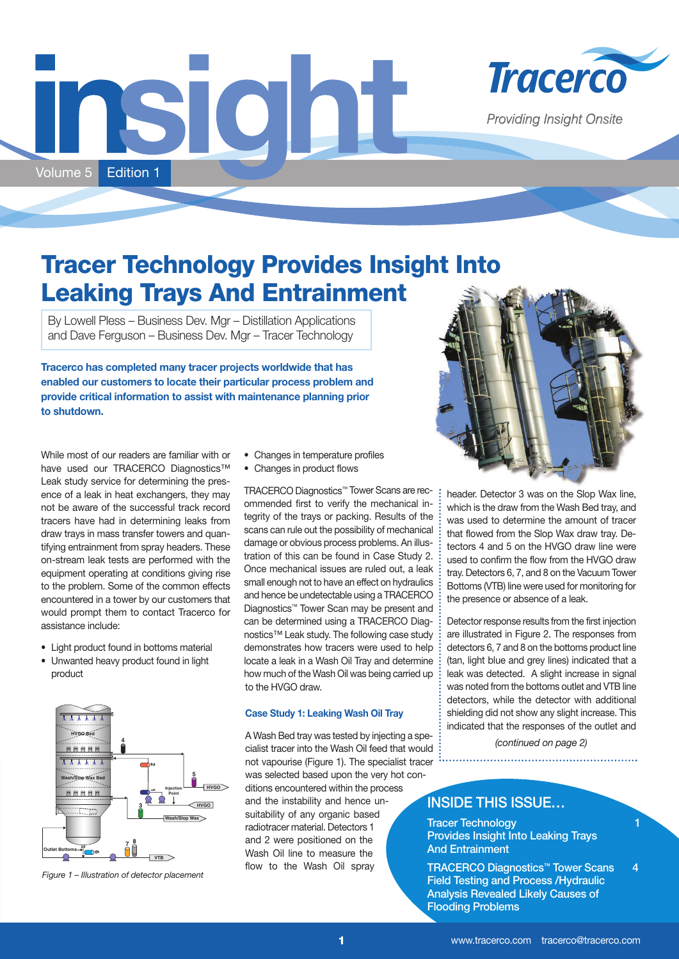# SIQNI Volume 5 Edition 1



**Providing Insight Onsite** 

# **Tracer Technology Provides Insight Into Leaking Trays And Entrainment**

By Lowell Pless – Business Dev. Mgr – Distillation Applications and Dave Ferguson – Business Dev. Mgr – Tracer Technology

**Tracerco has completed many tracer projects worldwide that has enabled our customers to locate their particular process problem and provide critical information to assist with maintenance planning prior to shutdown.**

While most of our readers are familiar with or have used our TRACERCO Diagnostics™ Leak study service for determining the presence of a leak in heat exchangers, they may not be aware of the successful track record tracers have had in determining leaks from draw trays in mass transfer towers and quantifying entrainment from spray headers. These on-stream leak tests are performed with the equipment operating at conditions giving rise to the problem. Some of the common effects encountered in a tower by our customers that would prompt them to contact Tracerco for assistance include:

- Light product found in bottoms material
- Unwanted heavy product found in light product



*Figure 1 – Illustration of detector placement*

- Changes in temperature profiles
- Changes in product flows

TRACERCO Diagnostics™ Tower Scans are recommended first to verify the mechanical integrity of the trays or packing. Results of the scans can rule out the possibility of mechanical damage or obvious process problems. An illustration of this can be found in Case Study 2. Once mechanical issues are ruled out, a leak small enough not to have an effect on hydraulics and hence be undetectable using a TRACERCO Diagnostics™ Tower Scan may be present and can be determined using a TRACERCO Diagnostics™ Leak study. The following case study demonstrates how tracers were used to help locate a leak in a Wash Oil Tray and determine how much of the Wash Oil was being carried up to the HVGO draw.

#### **Case Study 1: Leaking Wash Oil Tray**

A Wash Bed tray was tested by injecting a specialist tracer into the Wash Oil feed that would not vapourise (Figure 1). The specialist tracer was selected based upon the very hot conditions encountered within the process and the instability and hence unsuitability of any organic based radiotracer material. Detectors 1 and 2 were positioned on the Wash Oil line to measure the flow to the Wash Oil spray



header. Detector 3 was on the Slop Wax line, which is the draw from the Wash Bed tray, and was used to determine the amount of tracer that flowed from the Slop Wax draw tray. Detectors 4 and 5 on the HVGO draw line were used to confirm the flow from the HVGO draw tray. Detectors 6, 7, and 8 on the Vacuum Tower Bottoms (VTB) line were used for monitoring for the presence or absence of a leak.

Detector response results from the first injection are illustrated in Figure 2. The responses from detectors 6, 7 and 8 on the bottoms product line (tan, light blue and grey lines) indicated that a leak was detected. A slight increase in signal was noted from the bottoms outlet and VTB line detectors, while the detector with additional shielding did not show any slight increase. This indicated that the responses of the outlet and

*(continued on page 2)* 

### INSIDE THIS ISSUE…

Tracer Technology **1** 1 Provides Insight Into Leaking Trays **And Entrainment** 

TRACERCO Diagnostics™ Tower Scans 4 Field Testing and Process /Hydraulic Analysis Revealed Likely Causes of Flooding Problems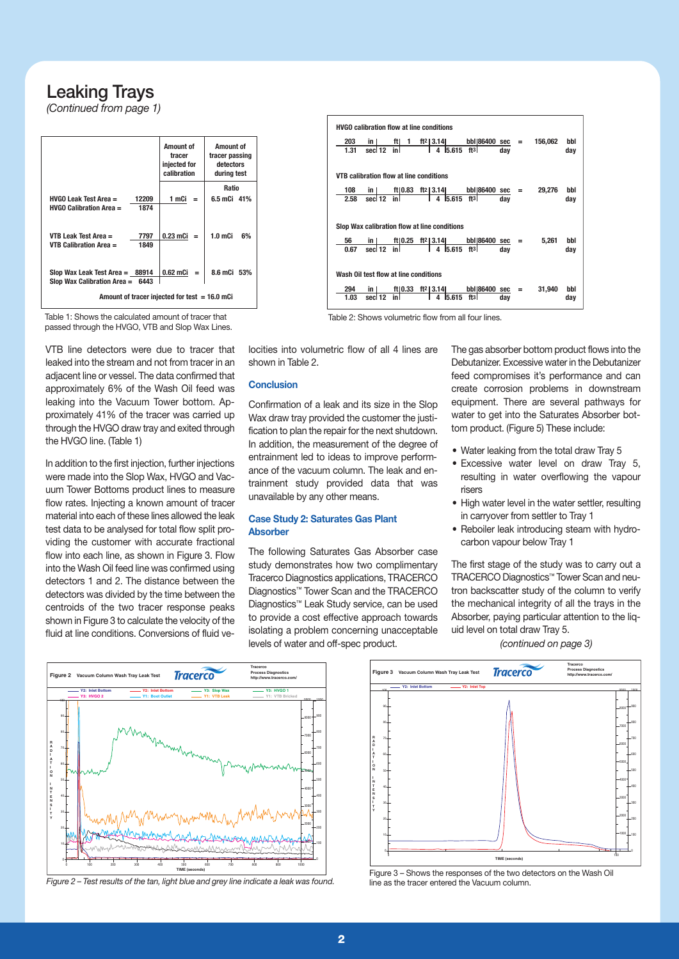## Leaking Trays

*(Continued from page 1)*

|                                                                      |              | <b>Amount of</b><br>tracer<br>injected for<br>calibration | <b>Amount of</b><br>tracer passing<br>detectors<br>during test |
|----------------------------------------------------------------------|--------------|-----------------------------------------------------------|----------------------------------------------------------------|
|                                                                      |              |                                                           | Ratio                                                          |
| $HVGO$ Leak Test Area $=$                                            | 12209        | 1 mCi<br>$=$                                              | 6.5 mCi 41%                                                    |
| $HVGO$ Calibration Area $=$                                          | 1874         |                                                           |                                                                |
| VTB Leak Test Area $=$<br><b>VTB Calibration Area <math>=</math></b> | 7797<br>1849 | 0.23 mCi<br>$=$                                           | $1.0m$ Ci<br>6%                                                |
| Slop Wax Leak Test Area $=$ 88914<br>Slop Wax Calibration Area =     | 6443         | 0.62 mCi                                                  | 8.6 mCi 53%                                                    |
| Amount of tracer injected for test $= 16.0$ mCi                      |              |                                                           |                                                                |



Table 1: Shows the calculated amount of tracer that Table 2: Shows volumetric flow from all four lines.

passed through the HVGO, VTB and Slop Wax Lines.

VTB line detectors were due to tracer that leaked into the stream and not from tracer in an adjacent line or vessel. The data confirmed that approximately 6% of the Wash Oil feed was leaking into the Vacuum Tower bottom. Approximately 41% of the tracer was carried up through the HVGO draw tray and exited through the HVGO line. (Table 1)

In addition to the first injection, further injections were made into the Slop Wax, HVGO and Vacuum Tower Bottoms product lines to measure flow rates. Injecting a known amount of tracer material into each of these lines allowed the leak test data to be analysed for total flow split providing the customer with accurate fractional flow into each line, as shown in Figure 3. Flow into the Wash Oil feed line was confirmed using detectors 1 and 2. The distance between the detectors was divided by the time between the centroids of the two tracer response peaks shown in Figure 3 to calculate the velocity of the fluid at line conditions. Conversions of fluid velocities into volumetric flow of all 4 lines are shown in Table 2.

#### **Conclusion**

Confirmation of a leak and its size in the Slop Wax draw tray provided the customer the justification to plan the repair for the next shutdown. In addition, the measurement of the degree of entrainment led to ideas to improve performance of the vacuum column. The leak and entrainment study provided data that was unavailable by any other means.

#### **Case Study 2: Saturates Gas Plant Absorber**

The following Saturates Gas Absorber case study demonstrates how two complimentary Tracerco Diagnostics applications, TRACERCO Diagnostics™ Tower Scan and the TRACERCO Diagnostics™ Leak Study service, can be used to provide a cost effective approach towards isolating a problem concerning unacceptable levels of water and off-spec product.

The gas absorber bottom product flows into the Debutanizer. Excessive water in the Debutanizer feed compromises it's performance and can create corrosion problems in downstream equipment. There are several pathways for water to get into the Saturates Absorber bottom product. (Figure 5) These include:

- Water leaking from the total draw Tray 5
- Excessive water level on draw Tray 5, resulting in water overflowing the vapour risers
- High water level in the water settler, resulting in carryover from settler to Tray 1
- Reboiler leak introducing steam with hydrocarbon vapour below Tray 1

The first stage of the study was to carry out a TRACERCO Diagnostics™ Tower Scan and neutron backscatter study of the column to verify the mechanical integrity of all the trays in the Absorber, paying particular attention to the liquid level on total draw Tray 5.

*(continued on page 3)*



*Figure 2 – Test results of the tan, light blue and grey line indicate a leak was found.*



Figure 3 – Shows the responses of the two detectors on the Wash Oil line as the tracer entered the Vacuum column.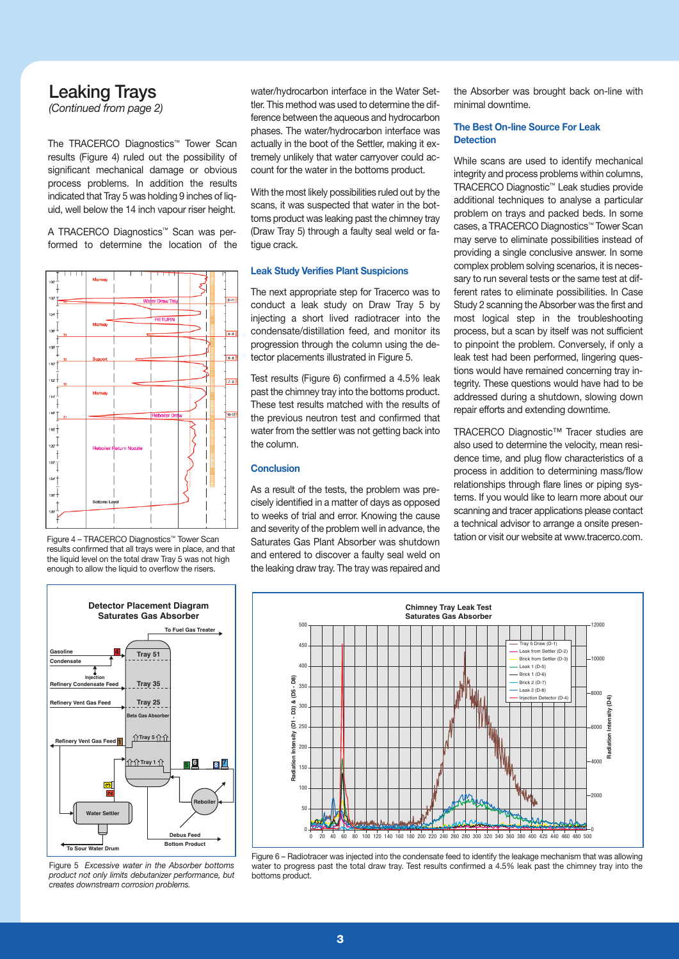## Leaking Trays

*(Continued from page 2)*

The TRACERCO Diagnostics™ Tower Scan results (Figure 4) ruled out the possibility of significant mechanical damage or obvious process problems. In addition the results indicated that Tray 5 was holding 9 inches of liquid, well below the 14 inch vapour riser height.

A TRACERCO Diagnostics™ Scan was performed to determine the location of the



Figure 4 – TRACERCO Diagnostics™ Tower Scan results confirmed that all trays were in place, and that the liquid level on the total draw Tray 5 was not high enough to allow the liquid to overflow the risers.



Figure 5 *Excessive water in the Absorber bottoms product not only limits debutanizer performance, but creates downstream corrosion problems.*

water/hydrocarbon interface in the Water Settler. This method was used to determine the difference between the aqueous and hydrocarbon phases. The water/hydrocarbon interface was actually in the boot of the Settler, making it extremely unlikely that water carryover could account for the water in the bottoms product.

With the most likely possibilities ruled out by the scans, it was suspected that water in the bottoms product was leaking past the chimney tray (Draw Tray 5) through a faulty seal weld or fatigue crack.

#### **Leak Study Verifies Plant Suspicions**

The next appropriate step for Tracerco was to conduct a leak study on Draw Tray 5 by injecting a short lived radiotracer into the condensate/distillation feed, and monitor its progression through the column using the detector placements illustrated in Figure 5.

Test results (Figure 6) confirmed a 4.5% leak past the chimney tray into the bottoms product. These test results matched with the results of the previous neutron test and confirmed that water from the settler was not getting back into the column.

#### **Conclusion**

As a result of the tests, the problem was precisely identified in a matter of days as opposed to weeks of trial and error. Knowing the cause and severity of the problem well in advance, the Saturates Gas Plant Absorber was shutdown and entered to discover a faulty seal weld on the leaking draw tray. The tray was repaired and

the Absorber was brought back on-line with minimal downtime.

#### **The Best On-line Source For Leak Detection**

While scans are used to identify mechanical integrity and process problems within columns, TRACERCO Diagnostic™ Leak studies provide additional techniques to analyse a particular problem on trays and packed beds. In some cases, a TRACERCO Diagnostics™ Tower Scan may serve to eliminate possibilities instead of providing a single conclusive answer. In some complex problem solving scenarios, it is necessary to run several tests or the same test at different rates to eliminate possibilities. In Case Study 2 scanning the Absorber was the first and most logical step in the troubleshooting process, but a scan by itself was not sufficient to pinpoint the problem. Conversely, if only a leak test had been performed, lingering questions would have remained concerning tray integrity. These questions would have had to be addressed during a shutdown, slowing down repair efforts and extending downtime.

TRACERCO Diagnostic™ Tracer studies are also used to determine the velocity, mean residence time, and plug flow characteristics of a process in addition to determining mass/flow relationships through flare lines or piping systems. If you would like to learn more about our scanning and tracer applications please contact a technical advisor to arrange a onsite presentation or visit our website at www.tracerco.com.



Figure 6 – Radiotracer was injected into the condensate feed to identify the leakage mechanism that was allowing water to progress past the total draw tray. Test results confirmed a 4.5% leak past the chimney tray into the bottoms product.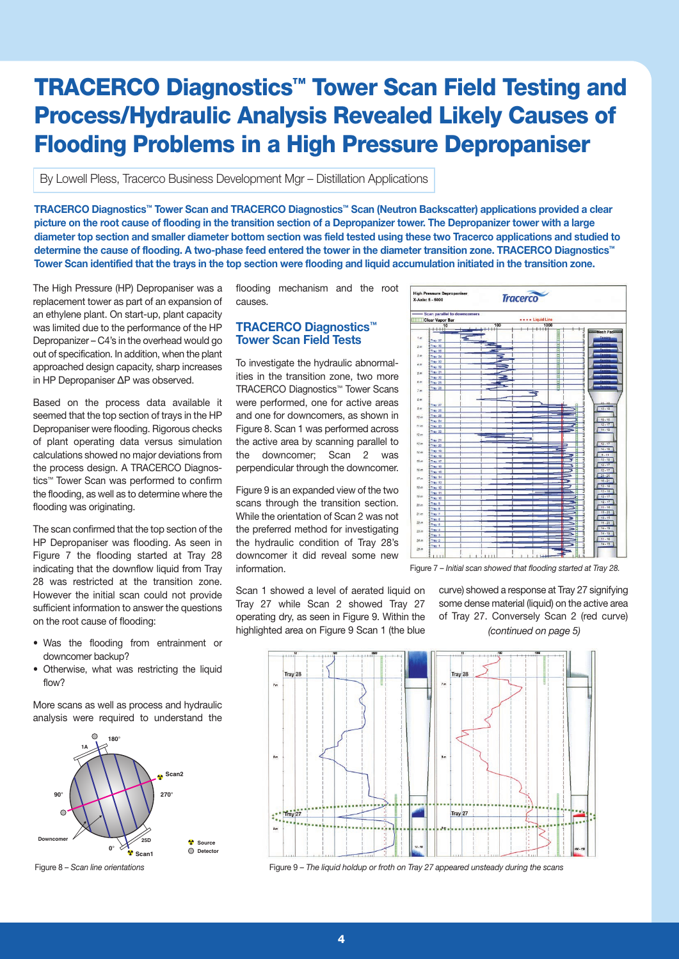# **TRACERCO Diagnostics™ Tower Scan Field Testing and Process/Hydraulic Analysis Revealed Likely Causes of Flooding Problems in a High Pressure Depropaniser**

By Lowell Pless, Tracerco Business Development Mgr – Distillation Applications

**TRACERCO Diagnostics™ Tower Scan and TRACERCO Diagnostics™ Scan (Neutron Backscatter) applications provided a clear picture on the root cause of flooding in the transition section of a Depropanizer tower. The Depropanizer tower with a large diameter top section and smaller diameter bottom section was field tested using these two Tracerco applications and studied to determine the cause of flooding. A two-phase feed entered the tower in the diameter transition zone. TRACERCO Diagnostics™ Tower Scan identified that the trays in the top section were flooding and liquid accumulation initiated in the transition zone.**

The High Pressure (HP) Depropaniser was a replacement tower as part of an expansion of an ethylene plant. On start-up, plant capacity was limited due to the performance of the HP Depropanizer – C4's in the overhead would go out of specification. In addition, when the plant approached design capacity, sharp increases in HP Depropaniser ΔP was observed.

Based on the process data available it seemed that the top section of trays in the HP Depropaniser were flooding. Rigorous checks of plant operating data versus simulation calculations showed no major deviations from the process design. A TRACERCO Diagnostics™ Tower Scan was performed to confirm the flooding, as well as to determine where the flooding was originating.

The scan confirmed that the top section of the HP Depropaniser was flooding. As seen in Figure 7 the flooding started at Tray 28 indicating that the downflow liquid from Tray 28 was restricted at the transition zone. However the initial scan could not provide sufficient information to answer the questions on the root cause of flooding:

- Was the flooding from entrainment or downcomer backup?
- Otherwise, what was restricting the liquid flow?

More scans as well as process and hydraulic analysis were required to understand the



flooding mechanism and the root causes.

#### **TRACERCO Diagnostics™ Tower Scan Field Tests**

To investigate the hydraulic abnormalities in the transition zone, two more TRACERCO Diagnostics™ Tower Scans were performed, one for active areas and one for downcomers, as shown in Figure 8. Scan 1 was performed across the active area by scanning parallel to the downcomer; Scan 2 was perpendicular through the downcomer.

Figure 9 is an expanded view of the two scans through the transition section. While the orientation of Scan 2 was not the preferred method for investigating the hydraulic condition of Tray 28's downcomer it did reveal some new information.

Scan 1 showed a level of aerated liquid on Tray 27 while Scan 2 showed Tray 27 operating dry, as seen in Figure 9. Within the highlighted area on Figure 9 Scan 1 (the blue



Figure 7 – *Initial scan showed that flooding started at Tray 28.*

curve) showed a response at Tray 27 signifying some dense material (liquid) on the active area of Tray 27. Conversely Scan 2 (red curve) *(continued on page 5)*



Figure 8 – *Scan line orientations* Figure 9 – *The liquid holdup or froth on Tray 27 appeared unsteady during the scans*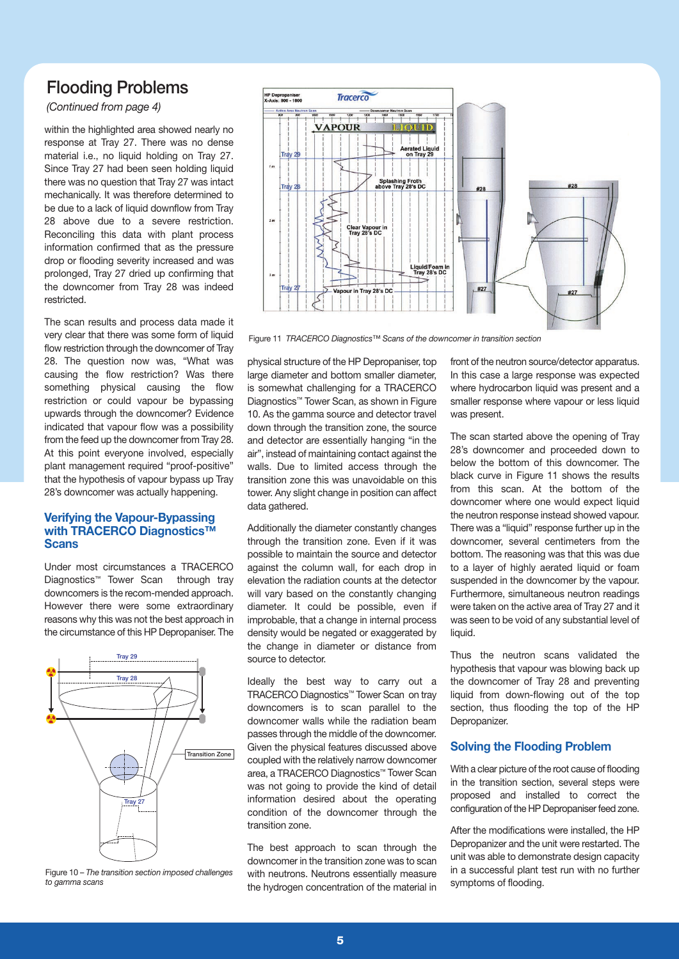## Flooding Problems

#### *(Continued from page 4)*

within the highlighted area showed nearly no response at Tray 27. There was no dense material i.e., no liquid holding on Tray 27. Since Tray 27 had been seen holding liquid there was no question that Tray 27 was intact mechanically. It was therefore determined to be due to a lack of liquid downflow from Tray 28 above due to a severe restriction. Reconciling this data with plant process information confirmed that as the pressure drop or flooding severity increased and was prolonged, Tray 27 dried up confirming that the downcomer from Tray 28 was indeed restricted.

The scan results and process data made it very clear that there was some form of liquid flow restriction through the downcomer of Tray 28. The question now was, "What was causing the flow restriction? Was there something physical causing the flow restriction or could vapour be bypassing upwards through the downcomer? Evidence indicated that vapour flow was a possibility from the feed up the downcomer from Tray 28. At this point everyone involved, especially plant management required "proof-positive" that the hypothesis of vapour bypass up Tray 28's downcomer was actually happening.

#### **Verifying the Vapour-Bypassing with TRACERCO Diagnostics™ Scans**

Under most circumstances a TRACERCO Diagnostics™ Tower Scan through tray downcomers is the recom-mended approach. However there were some extraordinary reasons why this was not the best approach in the circumstance of this HP Depropaniser. The



Figure 10 – *The transition section imposed challenges to gamma scans*



Figure 11 *TRACERCO Diagnostics™ Scans of the downcomer in transition section*

physical structure of the HP Depropaniser, top large diameter and bottom smaller diameter, is somewhat challenging for a TRACERCO Diagnostics™ Tower Scan, as shown in Figure 10. As the gamma source and detector travel down through the transition zone, the source and detector are essentially hanging "in the air", instead of maintaining contact against the walls. Due to limited access through the transition zone this was unavoidable on this tower. Any slight change in position can affect data gathered.

Additionally the diameter constantly changes through the transition zone. Even if it was possible to maintain the source and detector against the column wall, for each drop in elevation the radiation counts at the detector will vary based on the constantly changing diameter. It could be possible, even if improbable, that a change in internal process density would be negated or exaggerated by the change in diameter or distance from source to detector.

Ideally the best way to carry out a TRACERCO Diagnostics™ Tower Scan on tray downcomers is to scan parallel to the downcomer walls while the radiation beam passes through the middle of the downcomer. Given the physical features discussed above coupled with the relatively narrow downcomer area, a TRACERCO Diagnostics™ Tower Scan was not going to provide the kind of detail information desired about the operating condition of the downcomer through the transition zone.

The best approach to scan through the downcomer in the transition zone was to scan with neutrons. Neutrons essentially measure the hydrogen concentration of the material in

front of the neutron source/detector apparatus. In this case a large response was expected where hydrocarbon liquid was present and a smaller response where vapour or less liquid was present.

The scan started above the opening of Tray 28's downcomer and proceeded down to below the bottom of this downcomer. The black curve in Figure 11 shows the results from this scan. At the bottom of the downcomer where one would expect liquid the neutron response instead showed vapour. There was a "liquid" response further up in the downcomer, several centimeters from the bottom. The reasoning was that this was due to a layer of highly aerated liquid or foam suspended in the downcomer by the vapour. Furthermore, simultaneous neutron readings were taken on the active area of Tray 27 and it was seen to be void of any substantial level of liquid.

Thus the neutron scans validated the hypothesis that vapour was blowing back up the downcomer of Tray 28 and preventing liquid from down-flowing out of the top section, thus flooding the top of the HP Depropanizer.

#### **Solving the Flooding Problem**

With a clear picture of the root cause of flooding in the transition section, several steps were proposed and installed to correct the configuration of the HP Depropaniser feed zone.

After the modifications were installed, the HP Depropanizer and the unit were restarted. The unit was able to demonstrate design capacity in a successful plant test run with no further symptoms of flooding.